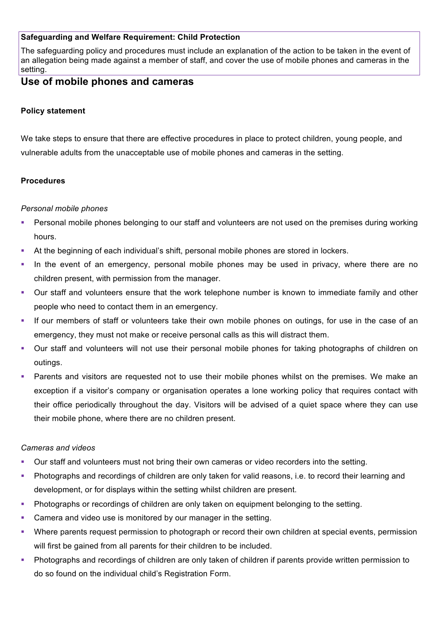## **Safeguarding and Welfare Requirement: Child Protection**

The safeguarding policy and procedures must include an explanation of the action to be taken in the event of an allegation being made against a member of staff, and cover the use of mobile phones and cameras in the setting.

# **Use of mobile phones and cameras**

### **Policy statement**

We take steps to ensure that there are effective procedures in place to protect children, young people, and vulnerable adults from the unacceptable use of mobile phones and cameras in the setting.

#### **Procedures**

#### *Personal mobile phones*

- Personal mobile phones belonging to our staff and volunteers are not used on the premises during working hours.
- § At the beginning of each individual's shift, personal mobile phones are stored in lockers.
- In the event of an emergency, personal mobile phones may be used in privacy, where there are no children present, with permission from the manager.
- Our staff and volunteers ensure that the work telephone number is known to immediate family and other people who need to contact them in an emergency.
- If our members of staff or volunteers take their own mobile phones on outings, for use in the case of an emergency, they must not make or receive personal calls as this will distract them.
- § Our staff and volunteers will not use their personal mobile phones for taking photographs of children on outings.
- § Parents and visitors are requested not to use their mobile phones whilst on the premises. We make an exception if a visitor's company or organisation operates a lone working policy that requires contact with their office periodically throughout the day. Visitors will be advised of a quiet space where they can use their mobile phone, where there are no children present.

#### *Cameras and videos*

- § Our staff and volunteers must not bring their own cameras or video recorders into the setting.
- § Photographs and recordings of children are only taken for valid reasons, i.e. to record their learning and development, or for displays within the setting whilst children are present.
- Photographs or recordings of children are only taken on equipment belonging to the setting.
- Camera and video use is monitored by our manager in the setting.
- Where parents request permission to photograph or record their own children at special events, permission will first be gained from all parents for their children to be included.
- § Photographs and recordings of children are only taken of children if parents provide written permission to do so found on the individual child's Registration Form.